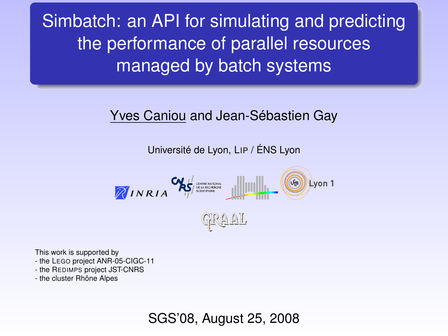Simbatch: an API for simulating and predicting the performance of parallel resources managed by batch systems

#### Yves Caniou and Jean-Sébastien Gay

Université de Lyon, LIP / ÉNS Lyon

$$
\mathcal{B}_{INRIA} \mathbf{X}_{\mathcal{F}}^{\mathcal{L}} = \mathbf{X}_{\mathcal{F}} \mathbf{X}_{\mathcal{F}}^{\mathcal{L}}
$$

This work is supported by

- the LEGO project ANR-05-CIGC-11

- the REDIMPS project JST-CNRS

<span id="page-0-0"></span>- the cluster Rhône Alpes

SGS'08, August 25, 2008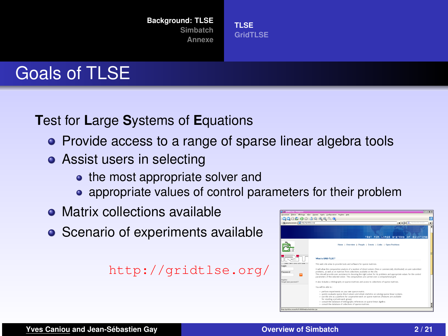**[Background: TLSE](#page-1-0)**

**[Simbatch](#page-5-0) [Annexe](#page-19-0)**

### Goals of TLSE

**T**est for **L**arge **S**ystems of **E**quations

- Provide access to a range of sparse linear algebra tools
- **Assist users in selecting** 
	- the most appropriate solver and
	- appropriate values of control parameters for their problem

**[TLSE](#page-1-0) [GridTLSE](#page-2-0)**

- Matrix collections available
- Scenario of experiments available

#### <http://gridtlse.org/>

<span id="page-1-0"></span>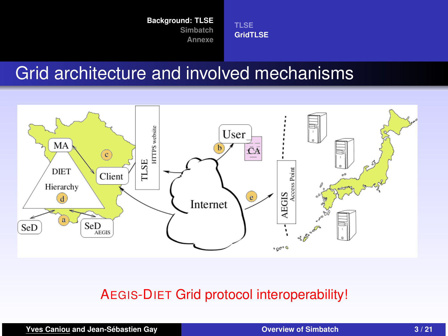**[TLSE](#page-1-0) [GridTLSE](#page-2-0)**

### Grid architecture and involved mechanisms



#### AEGIS-DIET Grid protocol interoperability!

**Yves Caniou and Jean-Sébastien Gay <b>Cannel Canadian Coverview of Simbatch 3/21** 

<span id="page-2-0"></span>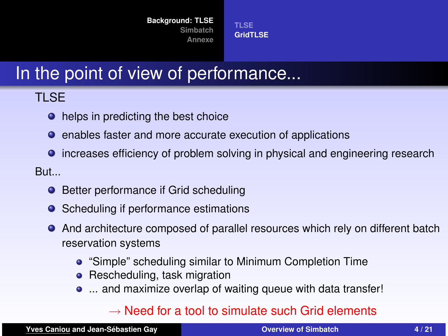**[TLSE](#page-1-0) [GridTLSE](#page-2-0)**

## In the point of view of performance...

### TLSE

- helps in predicting the best choice
- enables faster and more accurate execution of applications
- **•** increases efficiency of problem solving in physical and engineering research

But...

- **•** Better performance if Grid scheduling
- Scheduling if performance estimations  $\bullet$
- And architecture composed of parallel resources which rely on different batch  $\bullet$ reservation systems
	- "Simple" scheduling similar to Minimum Completion Time
	- Rescheduling, task migration
	- ... and maximize overlap of waiting queue with data transfer!

#### $\rightarrow$  Need for a tool to simulate such Grid elements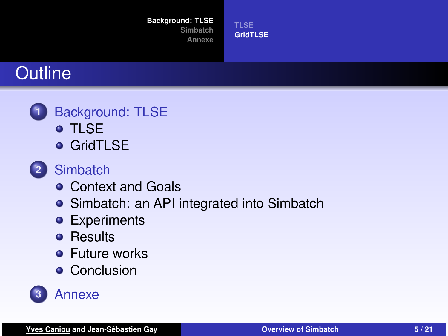#### **[Background: TLSE](#page-1-0)**

**[Simbatch](#page-5-0) [Annexe](#page-19-0)** **[TLSE](#page-1-0) [GridTLSE](#page-2-0)**

## **Outline**



- o [TLSE](#page-1-0)
- **o** [GridTLSE](#page-2-0)
- **2** [Simbatch](#page-5-0)
	- [Context and Goals](#page-5-0)
	- [Simbatch: an API integrated into Simbatch](#page-7-0)
	- **•** [Experiments](#page-12-0)
	- **•** [Results](#page-14-0)
	- **•** [Future works](#page-17-0)
	- **•** [Conclusion](#page-18-0)

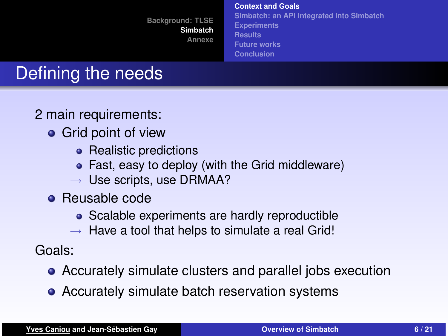**[Context and Goals](#page-5-0) [Simbatch: an API integrated into Simbatch](#page-7-0) [Experiments](#page-12-0) [Results](#page-14-0) [Future works](#page-17-0) [Conclusion](#page-18-0)**

# Defining the needs

2 main requirements:

- **•** Grid point of view
	- Realistic predictions
	- Fast, easy to deploy (with the Grid middleware)
	- $\rightarrow$  Use scripts, use DRMAA?
- **•** Reusable code
	- Scalable experiments are hardly reproductible
	- $\rightarrow$  Have a tool that helps to simulate a real Grid!

Goals:

- Accurately simulate clusters and parallel jobs execution
- <span id="page-5-0"></span>• Accurately simulate batch reservation systems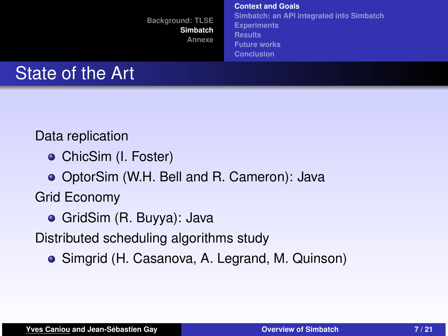**[Context and Goals](#page-5-0) [Simbatch: an API integrated into Simbatch](#page-7-0) [Experiments](#page-12-0) [Results](#page-14-0) [Future works](#page-17-0) [Conclusion](#page-18-0)**

## State of the Art

Data replication

**o** ChicSim (I. Foster)

OptorSim (W.H. Bell and R. Cameron): Java

Grid Economy

GridSim (R. Buyya): Java

Distributed scheduling algorithms study

Simgrid (H. Casanova, A. Legrand, M. Quinson)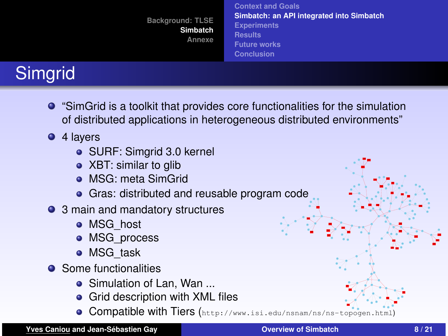| <b>Background: TLSE</b><br>Simbatch<br>Annexe | <b>Context and Goals</b><br>Simbatch: an API integrated into Simbatch<br><b>Experiments</b><br><b>Results</b> |
|-----------------------------------------------|---------------------------------------------------------------------------------------------------------------|
|                                               | <b>Future works</b><br><b>Conclusion</b>                                                                      |

# **Simgrid**

- "SimGrid is a toolkit that provides core functionalities for the simulation of distributed applications in heterogeneous distributed environments"
- 4 layers
	- SURF: Simgrid 3.0 kernel
	- XBT: similar to glib
	- **o** MSG: meta SimGrid
	- **•** Gras: distributed and reusable program code
- 3 main and mandatory structures
	- MSG\_host
	- MSG process
	- MSG\_task
- **•** Some functionalities
	- Simulation of Lan, Wan ...
	- Grid description with XML files
	- Compatible with Tiers (<http://www.isi.edu/nsnam/ns/ns-topogen.html>)

 162 July 1920 

 

 

 - 1 -

 <sup>33</sup> <sup>115</sup>

 - 129

> 

> > -<sup>138</sup>

 - 159 

 <sup>93</sup> 

 

. . . .

 

 

<span id="page-7-0"></span><sup>74</sup>

82 8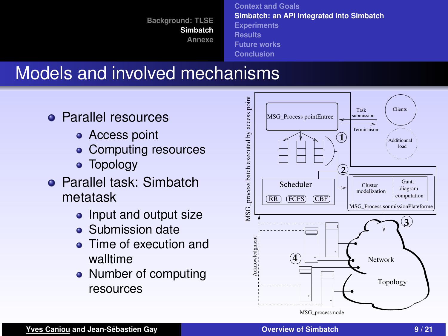**[Context and Goals](#page-5-0) [Simbatch: an API integrated into Simbatch](#page-7-0) [Experiments](#page-12-0) [Results](#page-14-0) [Future works](#page-17-0) [Conclusion](#page-18-0)**

### Models and involved mechanisms

- **Parallel resources** 
	- **•** Access point
	- Computing resources
	- Topology
- **Parallel task: Simbatch** metatask
	- Input and output size
	- **Submission date**
	- Time of execution and walltime
	- Number of computing resources

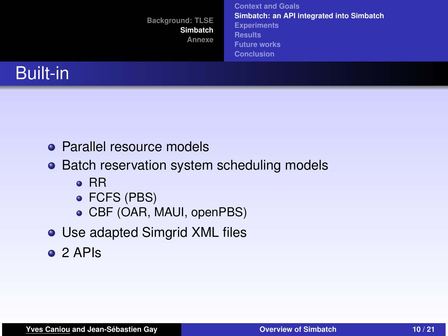|                 | <b>Background: TLSE</b><br>Simbatch<br>Annexe | <b>Context and Goals</b><br>Simbatch: an API integrated into Simbatch<br><b>Experiments</b><br><b>Results</b><br><b>Future works</b><br><b>Conclusion</b> |
|-----------------|-----------------------------------------------|-----------------------------------------------------------------------------------------------------------------------------------------------------------|
| <b>Built-in</b> |                                               |                                                                                                                                                           |

- Parallel resource models
- Batch reservation system scheduling models
	- $\bullet$  RR
	- FCFS (PBS)
	- CBF (OAR, MAUI, openPBS)
- Use adapted Simgrid XML files
- o 2 APIs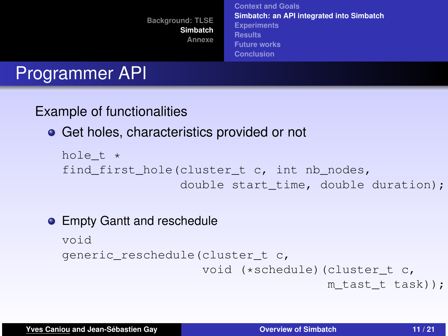**[Background: TLSE](#page-1-0) [Simbatch](#page-5-0) [Annexe](#page-19-0) [Context and Goals](#page-5-0) [Simbatch: an API integrated into Simbatch](#page-7-0) [Experiments](#page-12-0) [Results](#page-14-0) [Future works](#page-17-0) [Conclusion](#page-18-0)**

## Programmer API

#### Example of functionalities

### **•** Get holes, characteristics provided or not

```
hole t *
find first hole(cluster t c, int nb nodes,
                double start time, double duration);
```
#### **• Empty Gantt and reschedule**

```
void
generic_reschedule(cluster_t c,
                    void (*schedule) (cluster t c,
                                      m tast t task));
```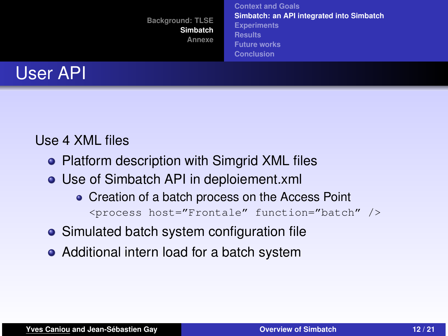|                 | <b>Background: TLSE</b><br>Simbatch<br>Annexe | <b>Context and Goals</b><br>Simbatch: an API integrated into Simbatch<br><b>Experiments</b><br><b>Results</b><br><b>Future works</b><br><b>Conclusion</b> |
|-----------------|-----------------------------------------------|-----------------------------------------------------------------------------------------------------------------------------------------------------------|
| <b>User API</b> |                                               |                                                                                                                                                           |

#### Use 4 XML files

- Platform description with Simgrid XML files
- Use of Simbatch API in deploiement.xml
	- Creation of a batch process on the Access Point <process host="Frontale" function="batch" />
- Simulated batch system configuration file
- Additional intern load for a batch system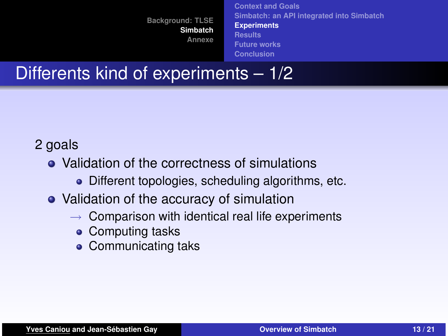<span id="page-12-0"></span>**[Context and Goals](#page-5-0) [Simbatch: an API integrated into Simbatch](#page-7-0) [Experiments](#page-12-0) [Results](#page-14-0) [Future works](#page-17-0) [Conclusion](#page-18-0)**

### Differents kind of experiments – 1/2

### 2 goals

- Validation of the correctness of simulations
	- Different topologies, scheduling algorithms, etc.
- Validation of the accuracy of simulation
	- $\rightarrow$  Comparison with identical real life experiments
		- Computing tasks
		- Communicating taks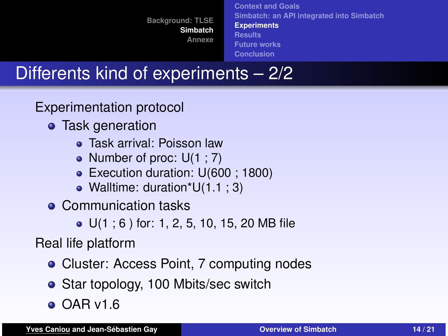**[Context and Goals](#page-5-0) [Simbatch: an API integrated into Simbatch](#page-7-0) [Experiments](#page-12-0) [Results](#page-14-0) [Future works](#page-17-0) [Conclusion](#page-18-0)**

## Differents kind of experiments – 2/2

Experimentation protocol

- **o** Task generation
	- Task arrival: Poisson law
	- Number of proc:  $U(1; 7)$
	- Execution duration: U(600; 1800)
	- Walltime: duration\*U(1.1 ; 3)
- Communication tasks

● U(1; 6) for: 1, 2, 5, 10, 15, 20 MB file

Real life platform

- Cluster: Access Point, 7 computing nodes
- Star topology, 100 Mbits/sec switch
- $\bullet$  OAR v1.6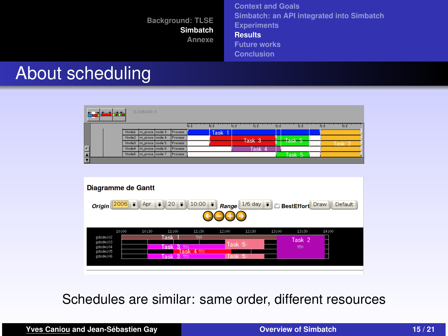**[Context and Goals](#page-5-0) [Simbatch: an API integrated into Simbatch](#page-7-0) [Experiments](#page-12-0) [Results](#page-14-0) [Future works](#page-17-0)**

#### <span id="page-14-0"></span>**[Conclusion](#page-18-0)**

### About scheduling

| 量  |  |       | 0.036409 h        |         |                   |              |     |                   |    |      |    |              |  |
|----|--|-------|-------------------|---------|-------------------|--------------|-----|-------------------|----|------|----|--------------|--|
|    |  |       |                   |         | $I_0$ . $\dot{o}$ | $\mathbf{a}$ | 100 | 1.5               | 20 | 25   | 30 | $\mathbf{z}$ |  |
|    |  | Nodel | m_proce node 3    | Process |                   | <b>Task</b>  |     |                   |    |      |    |              |  |
|    |  | Node2 | Im proce Inode 4  | Process |                   |              |     | Task <sub>3</sub> |    | Task |    |              |  |
|    |  | Node3 | Im_proce   node 5 | Process |                   |              |     |                   |    |      |    |              |  |
| Ŀ  |  | Node4 | m_proce node 6    | Process |                   |              |     | Task              |    |      |    |              |  |
| E  |  | Node5 | m_proce node 7    | Process |                   |              |     |                   |    | Task |    |              |  |
| ĪV |  |       |                   |         |                   |              |     |                   |    |      |    |              |  |



Schedules are similar: same order, different resources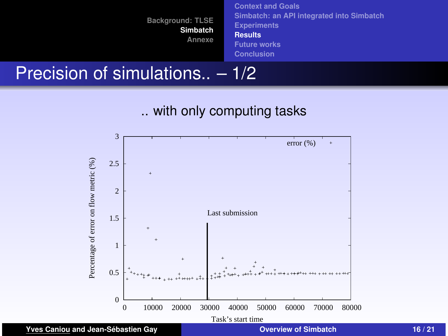**[Context and Goals](#page-5-0) [Simbatch: an API integrated into Simbatch](#page-7-0) [Experiments](#page-12-0) [Results](#page-14-0) [Future works](#page-17-0) [Conclusion](#page-18-0)**

### Precision of simulations.. – 1/2



.. with only computing tasks

**Yves Caniou and Jean-Sébastien Gay [Overview of Simbatch](#page-0-0) 16 / 21**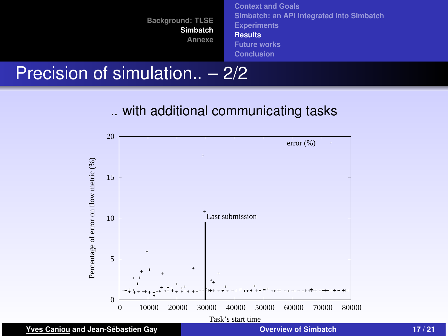



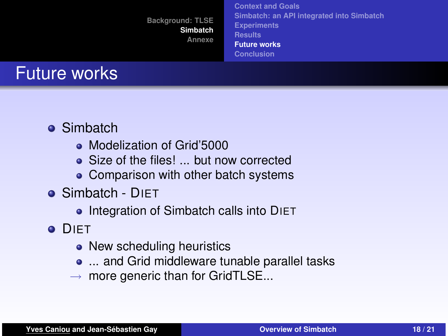**[Background: TLSE](#page-1-0) [Simbatch](#page-5-0) [Annexe](#page-19-0) [Context and Goals](#page-5-0) [Simbatch: an API integrated into Simbatch](#page-7-0) [Experiments](#page-12-0) [Results](#page-14-0) [Future works](#page-17-0) [Conclusion](#page-18-0)**

### Future works

- **•** Simbatch
	- Modelization of Grid'5000
	- Size of the files! ... but now corrected
	- Comparison with other batch systems
- Simbatch DIET
	- Integration of Simbatch calls into DIET
- <span id="page-17-0"></span>**O** DIFT
	- New scheduling heuristics
	- ... and Grid middleware tunable parallel tasks
	- $\rightarrow$  more generic than for GridTLSE...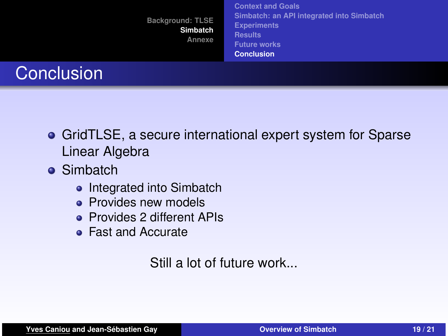|                   | <b>Background: TLSE</b><br>Simbatch<br>Annexe | <b>Context and Goals</b><br>Simbatch: an API integrated into Simbatch<br><b>Experiments</b><br><b>Results</b><br><b>Future works</b><br><b>Conclusion</b> |  |
|-------------------|-----------------------------------------------|-----------------------------------------------------------------------------------------------------------------------------------------------------------|--|
| <b>Conclusion</b> |                                               |                                                                                                                                                           |  |

- GridTLSE, a secure international expert system for Sparse Linear Algebra
- **•** Simbatch
	- Integrated into Simbatch
	- **Provides new models**
	- **Provides 2 different APIs**
	- Fast and Accurate

<span id="page-18-0"></span>Still a lot of future work...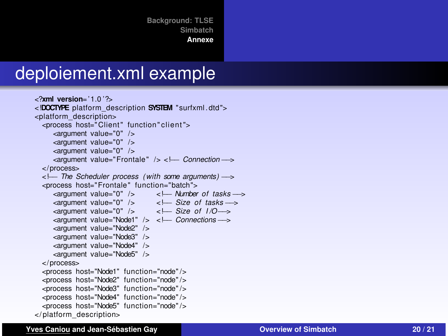**[Background: TLSE](#page-1-0) [Simbatch](#page-5-0)**

<span id="page-19-0"></span>**[Annexe](#page-19-0)**

### deploiement.xml example

```
<?xml version= ' 1.0 '?>
<!DOCTYPE platform_description SYSTEM " surfxml . dtd ">
<platform_description>
  <process host="Client" function" client">
     <argument value="0" />
    <argument value="0" />
     <argument value="0" />
     <argument value="Frontale " /> <!−− Connection−−>
  </process>
  <!−− The Scheduler process ( with some arguments) −−>
  <process host="Frontale " function="batch">
     <argument value="0" /> <!--- Number of tasks --->
    <argument value="0" /> <!--- Size of tasks --->
     <argument value="0" /> <!--- Size of 1/O →
     <argument value="Node1" /> <!−− Connections−−>
     <argument value="Node2" />
     <argument value="Node3" />
     <argument value="Node4" />
     <argument value="Node5" />
  </process>
  <process host="Node1" function="node" />
  <process host="Node2" function="node" />
  <process host="Node3" function="node" />
  <process host="Node4" function="node" />
  <process host="Node5" function="node" />
</ platform_description>
```
#### **Yves Caniou and Jean-Sébastien Gay [Overview of Simbatch](#page-0-0) 20 / 21**